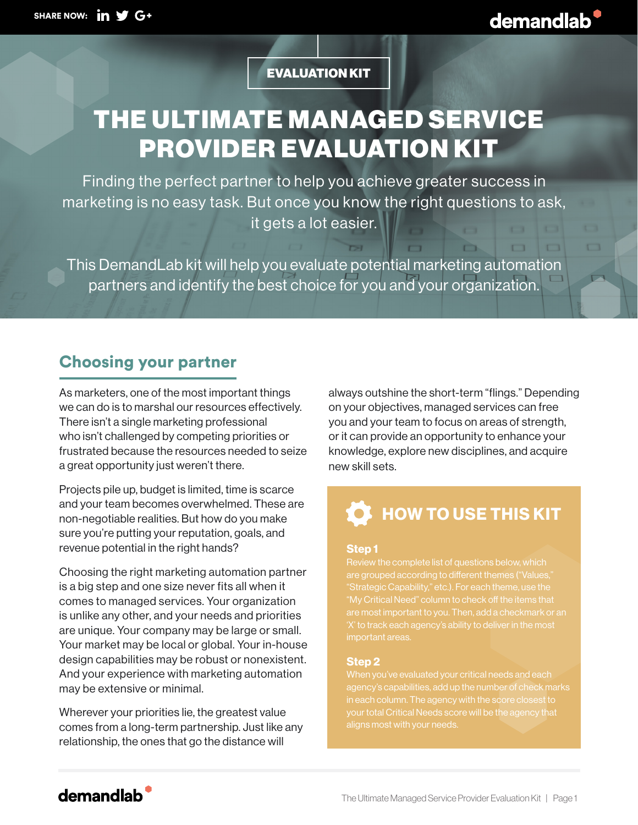$\Box$ 

 $\Box$ 

 $\overline{\phantom{a}}$ 

EVALUATION KIT

# THE ULTIMATE MANAGED SERVICE PROVIDER EVALUATION KIT

Finding the perfect partner to help you achieve greater success in marketing is no easy task. But once you know the right questions to ask, it gets a lot easier.

This DemandLab kit will help you evaluate potential marketing automation partners and identify the best choice for you and your organization.

### Choosing your partner

As marketers, one of the most important things we can do is to marshal our resources effectively. There isn't a single marketing professional who isn't challenged by competing priorities or frustrated because the resources needed to seize a great opportunity just weren't there.

Projects pile up, budget is limited, time is scarce and your team becomes overwhelmed. These are non-negotiable realities. But how do you make sure you're putting your reputation, goals, and revenue potential in the right hands?

Choosing the right marketing automation partner is a big step and one size never fits all when it comes to managed services. Your organization is unlike any other, and your needs and priorities are unique. Your company may be large or small. Your market may be local or global. Your in-house design capabilities may be robust or nonexistent. And your experience with marketing automation may be extensive or minimal.

Wherever your priorities lie, the greatest value comes from a long-term partnership. Just like any relationship, the ones that go the distance will

always outshine the short-term "flings." Depending on your objectives, managed services can free you and your team to focus on areas of strength, or it can provide an opportunity to enhance your knowledge, explore new disciplines, and acquire new skill sets.

# $\blacklozenge$  HOW TO USE THIS KIT

#### Step 1

are grouped according to different themes ("Values," "Strategic Capability," etc.). For each theme, use the "My Critical Need" column to check off the items that important areas.

#### Step 2

in each column. The agency with the score closest to your total Critical Needs score will be the agency that

### demandlab<sup>'</sup>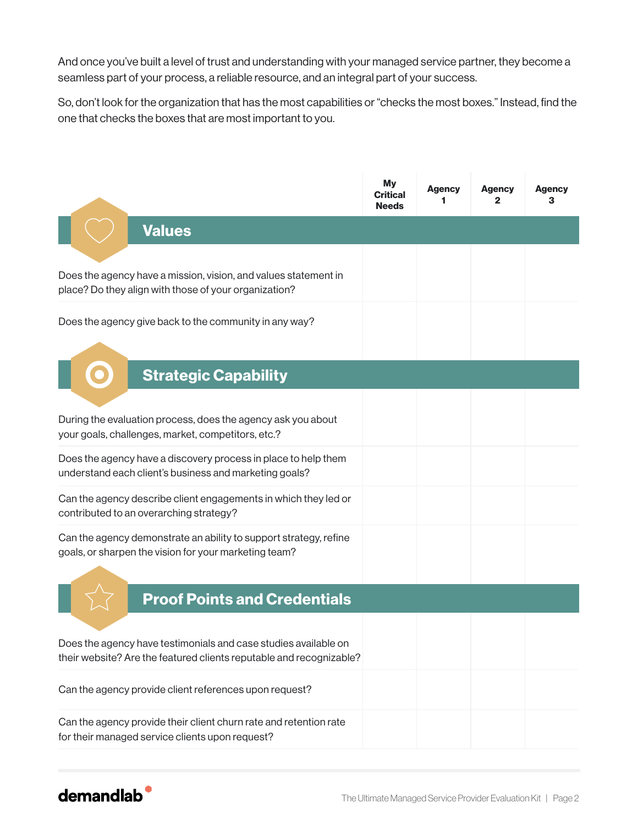And once you've built a level of trust and understanding with your managed service partner, they become a seamless part of your process, a reliable resource, and an integral part of your success.

So, don't look for the organization that has the most capabilities or "checks the most boxes." Instead, find the one that checks the boxes that are most important to you.

|                                                                                                                                        | Μy<br>Critical<br><b>Needs</b> | <b>Agency</b><br>1 | <b>Agency</b><br>2 | Agency<br>з |
|----------------------------------------------------------------------------------------------------------------------------------------|--------------------------------|--------------------|--------------------|-------------|
| <b>Values</b>                                                                                                                          |                                |                    |                    |             |
| Does the agency have a mission, vision, and values statement in<br>place? Do they align with those of your organization?               |                                |                    |                    |             |
| Does the agency give back to the community in any way?                                                                                 |                                |                    |                    |             |
| <b>Strategic Capability</b>                                                                                                            |                                |                    |                    |             |
| During the evaluation process, does the agency ask you about<br>your goals, challenges, market, competitors, etc.?                     |                                |                    |                    |             |
| Does the agency have a discovery process in place to help them<br>understand each client's business and marketing goals?               |                                |                    |                    |             |
| Can the agency describe client engagements in which they led or<br>contributed to an overarching strategy?                             |                                |                    |                    |             |
| Can the agency demonstrate an ability to support strategy, refine<br>goals, or sharpen the vision for your marketing team?             |                                |                    |                    |             |
| <b>Proof Points and Credentials</b>                                                                                                    |                                |                    |                    |             |
| Does the agency have testimonials and case studies available on<br>their website? Are the featured clients reputable and recognizable? |                                |                    |                    |             |
| Can the agency provide client references upon request?                                                                                 |                                |                    |                    |             |
| Can the agency provide their client churn rate and retention rate<br>for their managed service clients upon request?                   |                                |                    |                    |             |

## demandlab<sup>®</sup>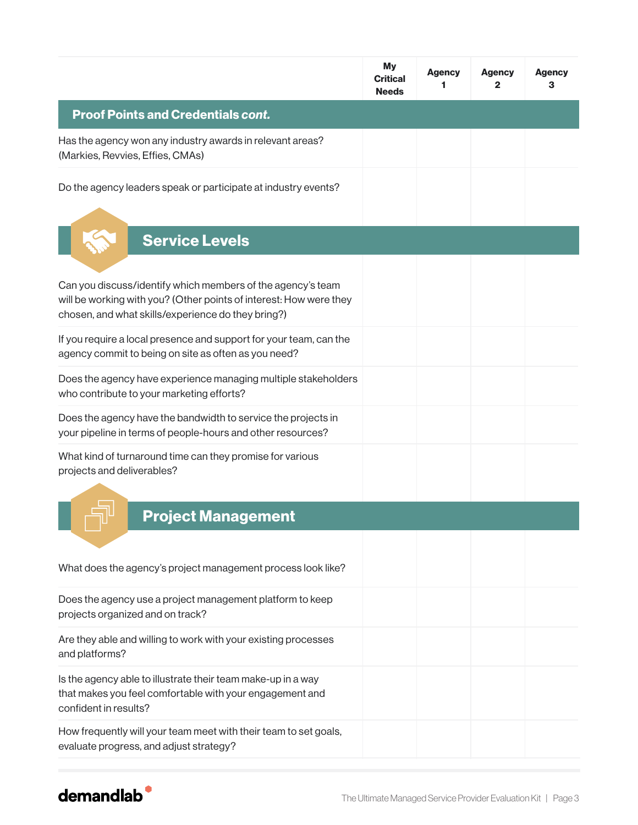|                                                                                                                                                                                         | <b>My</b><br><b>Critical</b><br><b>Needs</b> | <b>Agency</b><br>1 | <b>Agency</b><br>2 | <b>Agency</b><br>з |
|-----------------------------------------------------------------------------------------------------------------------------------------------------------------------------------------|----------------------------------------------|--------------------|--------------------|--------------------|
| <b>Proof Points and Credentials cont.</b>                                                                                                                                               |                                              |                    |                    |                    |
| Has the agency won any industry awards in relevant areas?<br>(Markies, Revvies, Effies, CMAs)                                                                                           |                                              |                    |                    |                    |
| Do the agency leaders speak or participate at industry events?                                                                                                                          |                                              |                    |                    |                    |
| <b>Service Levels</b>                                                                                                                                                                   |                                              |                    |                    |                    |
| Can you discuss/identify which members of the agency's team<br>will be working with you? (Other points of interest: How were they<br>chosen, and what skills/experience do they bring?) |                                              |                    |                    |                    |
| If you require a local presence and support for your team, can the<br>agency commit to being on site as often as you need?                                                              |                                              |                    |                    |                    |
| Does the agency have experience managing multiple stakeholders<br>who contribute to your marketing efforts?                                                                             |                                              |                    |                    |                    |
| Does the agency have the bandwidth to service the projects in<br>your pipeline in terms of people-hours and other resources?                                                            |                                              |                    |                    |                    |
| What kind of turnaround time can they promise for various<br>projects and deliverables?                                                                                                 |                                              |                    |                    |                    |
| <b>Project Management</b>                                                                                                                                                               |                                              |                    |                    |                    |
| What does the agency's project management process look like?                                                                                                                            |                                              |                    |                    |                    |
| Does the agency use a project management platform to keep<br>projects organized and on track?                                                                                           |                                              |                    |                    |                    |
| Are they able and willing to work with your existing processes<br>and platforms?                                                                                                        |                                              |                    |                    |                    |
| Is the agency able to illustrate their team make-up in a way<br>that makes you feel comfortable with your engagement and<br>confident in results?                                       |                                              |                    |                    |                    |
| How frequently will your team meet with their team to set goals,<br>evaluate progress, and adjust strategy?                                                                             |                                              |                    |                    |                    |

## demandlab<sup>®</sup>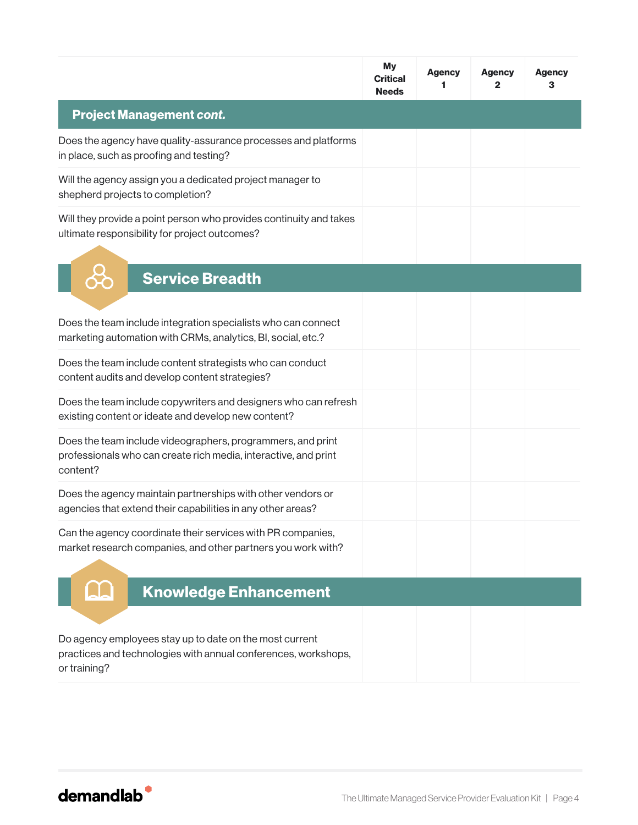|                                                                                                                                            | <b>My</b><br><b>Critical</b><br><b>Needs</b> | <b>Agency</b><br>1 | <b>Agency</b><br>2 | <b>Agency</b><br>З |
|--------------------------------------------------------------------------------------------------------------------------------------------|----------------------------------------------|--------------------|--------------------|--------------------|
| <b>Project Management cont.</b>                                                                                                            |                                              |                    |                    |                    |
| Does the agency have quality-assurance processes and platforms<br>in place, such as proofing and testing?                                  |                                              |                    |                    |                    |
| Will the agency assign you a dedicated project manager to<br>shepherd projects to completion?                                              |                                              |                    |                    |                    |
| Will they provide a point person who provides continuity and takes<br>ultimate responsibility for project outcomes?                        |                                              |                    |                    |                    |
| <b>Service Breadth</b>                                                                                                                     |                                              |                    |                    |                    |
| Does the team include integration specialists who can connect<br>marketing automation with CRMs, analytics, BI, social, etc.?              |                                              |                    |                    |                    |
| Does the team include content strategists who can conduct<br>content audits and develop content strategies?                                |                                              |                    |                    |                    |
| Does the team include copywriters and designers who can refresh<br>existing content or ideate and develop new content?                     |                                              |                    |                    |                    |
| Does the team include videographers, programmers, and print<br>professionals who can create rich media, interactive, and print<br>content? |                                              |                    |                    |                    |
| Does the agency maintain partnerships with other vendors or<br>agencies that extend their capabilities in any other areas?                 |                                              |                    |                    |                    |
| Can the agency coordinate their services with PR companies,<br>market research companies, and other partners you work with?                |                                              |                    |                    |                    |
| <b>Knowledge Enhancement</b>                                                                                                               |                                              |                    |                    |                    |
| Do agency employees stay up to date on the most current<br>practices and technologies with annual conferences, workshops,<br>or training?  |                                              |                    |                    |                    |

demandlab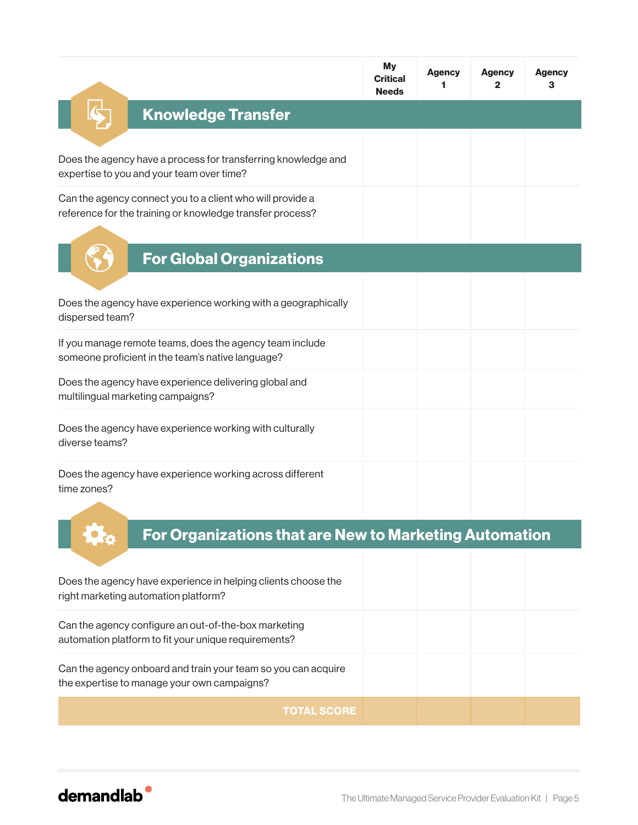|                                                                                                                        | My<br><b>Critical</b><br><b>Needs</b> | <b>Agency</b><br>1 | <b>Agency</b><br>2 | <b>Agency</b><br>з |
|------------------------------------------------------------------------------------------------------------------------|---------------------------------------|--------------------|--------------------|--------------------|
| <b>Knowledge Transfer</b>                                                                                              |                                       |                    |                    |                    |
| Does the agency have a process for transferring knowledge and<br>expertise to you and your team over time?             |                                       |                    |                    |                    |
| Can the agency connect you to a client who will provide a<br>reference for the training or knowledge transfer process? |                                       |                    |                    |                    |
| <b>For Global Organizations</b>                                                                                        |                                       |                    |                    |                    |
| Does the agency have experience working with a geographically<br>dispersed team?                                       |                                       |                    |                    |                    |
| If you manage remote teams, does the agency team include<br>someone proficient in the team's native language?          |                                       |                    |                    |                    |
| Does the agency have experience delivering global and<br>multilingual marketing campaigns?                             |                                       |                    |                    |                    |
| Does the agency have experience working with culturally<br>diverse teams?                                              |                                       |                    |                    |                    |
| Does the agency have experience working across different<br>time zones?                                                |                                       |                    |                    |                    |
| For Organizations that are New to Marketing Automation                                                                 |                                       |                    |                    |                    |
| Does the agency have experience in helping clients choose the<br>right marketing automation platform?                  |                                       |                    |                    |                    |
| Can the agency configure an out-of-the-box marketing<br>automation platform to fit your unique requirements?           |                                       |                    |                    |                    |
| Can the agency onboard and train your team so you can acquire<br>the expertise to manage your own campaigns?           |                                       |                    |                    |                    |
| <b>TOTAL SCORE</b>                                                                                                     |                                       |                    |                    |                    |